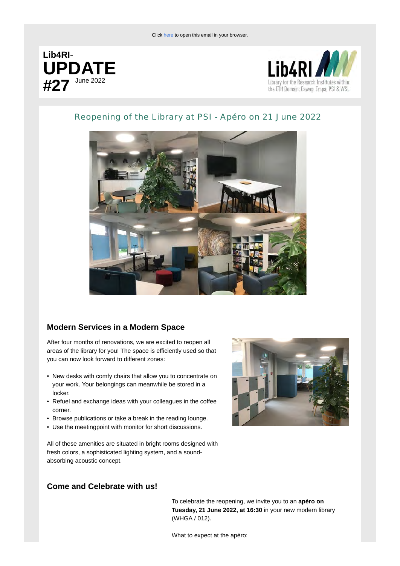



# Reopening of the Library at PSI - Apéro on 21 June 2022



### **Modern Services in a Modern Space**

After four months of renovations, we are excited to reopen all areas of the library for you! The space is efficiently used so that you can now look forward to different zones:

- New desks with comfy chairs that allow you to concentrate on your work. Your belongings can meanwhile be stored in a locker.
- Refuel and exchange ideas with your colleagues in the coffee corner.
- Browse publications or take a break in the reading lounge.
- Use the meetingpoint with monitor for short discussions.



All of these amenities are situated in bright rooms designed with fresh colors, a sophisticated lighting system, and a soundabsorbing acoustic concept.

### **Come and Celebrate with us!**

To celebrate the reopening, we invite you to an **apéro on Tuesday, 21 June 2022, at 16:30** in your new modern library (WHGA / 012).

What to expect at the apéro: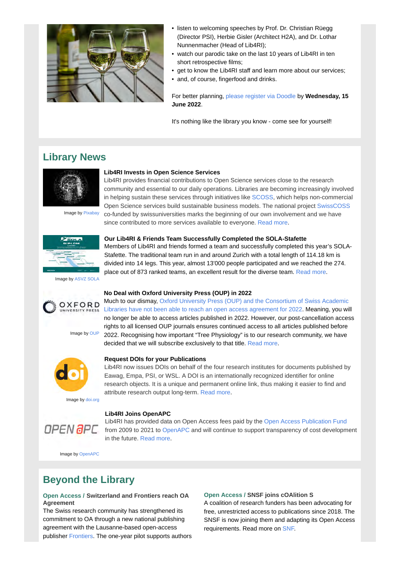

- listen to welcoming speeches by Prof. Dr. Christian Rüegg (Director PSI), Herbie Gisler (Architect H2A), and Dr. Lothar Nunnenmacher (Head of Lib4RI);
- watch our parodic take on the last 10 years of Lib4RI in ten short retrospective films;
- get to know the Lib4RI staff and learn more about our services;
- and, of course, fingerfood and drinks.

For better planning, [please register via Doodle](https://newsletter.lib4ri.ch/e/cf587273467cae4e/nl/f7b0f08642ac9750a3f8afab/link/33887/8c7b7d915db677cbe86894239f93cf9e7426fee3/en/-) by **Wednesday, 15 June 2022**.

It's nothing like the library you know - come see for yourself!

# **Library News**



Image by [Pixabay](https://newsletter.lib4ri.ch/e/cf587273467cae4e/nl/f7b0f08642ac9750a3f8afab/link/33882/8c7b7d915db677cbe86894239f93cf9e7426fee3/en/-)

**Lib4RI Invests in Open Science Services**

community and essential to our daily operations. Libraries are becoming increasingly involved in helping sustain these services through initiatives like [SCOSS,](https://newsletter.lib4ri.ch/e/cf587273467cae4e/nl/f7b0f08642ac9750a3f8afab/link/33878/8c7b7d915db677cbe86894239f93cf9e7426fee3/en/-) which helps non-commercial Open Science services build sustainable business models. The national project [SwissCOSS](https://newsletter.lib4ri.ch/e/cf587273467cae4e/nl/f7b0f08642ac9750a3f8afab/link/33879/8c7b7d915db677cbe86894239f93cf9e7426fee3/en/-) co-funded by swissuniversities marks the beginning of our own involvement and we have since contributed to more services available to everyone. [Read more.](https://newsletter.lib4ri.ch/e/cf587273467cae4e/nl/f7b0f08642ac9750a3f8afab/link/33880/8c7b7d915db677cbe86894239f93cf9e7426fee3/en/-)

Lib4RI provides financial contributions to Open Science services close to the research

place out of 873 ranked teams, an excellent result for the diverse team. [Read more.](https://newsletter.lib4ri.ch/e/cf587273467cae4e/nl/f7b0f08642ac9750a3f8afab/link/33877/8c7b7d915db677cbe86894239f93cf9e7426fee3/en/-)



Image by [ASVZ SOLA](https://newsletter.lib4ri.ch/e/cf587273467cae4e/nl/f7b0f08642ac9750a3f8afab/link/33881/8c7b7d915db677cbe86894239f93cf9e7426fee3/en/-)



Image by [OUP](https://newsletter.lib4ri.ch/e/cf587273467cae4e/nl/f7b0f08642ac9750a3f8afab/link/33862/8c7b7d915db677cbe86894239f93cf9e7426fee3/en/-)



Image by [doi.org](https://newsletter.lib4ri.ch/e/cf587273467cae4e/nl/f7b0f08642ac9750a3f8afab/link/33863/8c7b7d915db677cbe86894239f93cf9e7426fee3/en/-)



### **No Deal with Oxford University Press (OUP) in 2022**

Much to our dismay, [Oxford University Press \(OUP\) and the Consortium of Swiss Academic](https://newsletter.lib4ri.ch/e/cf587273467cae4e/nl/f7b0f08642ac9750a3f8afab/link/33875/8c7b7d915db677cbe86894239f93cf9e7426fee3/en/-) [Libraries have not been able to reach an open access agreement for 2022.](https://newsletter.lib4ri.ch/e/cf587273467cae4e/nl/f7b0f08642ac9750a3f8afab/link/33875/8c7b7d915db677cbe86894239f93cf9e7426fee3/en/-) Meaning, you will no longer be able to access articles published in 2022. However, our post-cancellation access rights to all licensed OUP journals ensures continued access to all articles published before 2022. Recognising how important "Tree Physiology" is to our research community, we have decided that we will subscribe exclusively to that title. [Read more.](https://newsletter.lib4ri.ch/e/cf587273467cae4e/nl/f7b0f08642ac9750a3f8afab/link/33876/8c7b7d915db677cbe86894239f93cf9e7426fee3/en/-)

#### **Request DOIs for your Publications**

Lib4RI now issues DOIs on behalf of the four research institutes for documents published by Eawag, Empa, PSI, or WSL. A DOI is an internationally recognized identifier for online research objects. It is a unique and permanent online link, thus making it easier to find and attribute research output long-term. [Read more.](https://newsletter.lib4ri.ch/e/cf587273467cae4e/nl/f7b0f08642ac9750a3f8afab/link/33864/8c7b7d915db677cbe86894239f93cf9e7426fee3/en/-)

### **Lib4RI Joins OpenAPC**

Lib4RI has provided data on Open Access fees paid by the [Open Access Publication Fund](https://newsletter.lib4ri.ch/e/cf587273467cae4e/nl/f7b0f08642ac9750a3f8afab/link/33866/8c7b7d915db677cbe86894239f93cf9e7426fee3/en/-) from 2009 to 2021 to [OpenAPC](https://newsletter.lib4ri.ch/e/cf587273467cae4e/nl/f7b0f08642ac9750a3f8afab/link/33865/8c7b7d915db677cbe86894239f93cf9e7426fee3/en/-) and will continue to support transparency of cost development in the future. [Read more.](https://newsletter.lib4ri.ch/e/cf587273467cae4e/nl/f7b0f08642ac9750a3f8afab/link/33867/8c7b7d915db677cbe86894239f93cf9e7426fee3/en/-)

Image by [OpenAPC](https://newsletter.lib4ri.ch/e/cf587273467cae4e/nl/f7b0f08642ac9750a3f8afab/link/33865/8c7b7d915db677cbe86894239f93cf9e7426fee3/en/-)

# **Beyond the Library**

### **Open Access / Switzerland and Frontiers reach OA Agreement**

The Swiss research community has strengthened its commitment to OA through a new national publishing agreement with the Lausanne-based open-access publisher [Frontiers.](https://newsletter.lib4ri.ch/e/cf587273467cae4e/nl/f7b0f08642ac9750a3f8afab/link/33883/8c7b7d915db677cbe86894239f93cf9e7426fee3/en/-) The one-year pilot supports authors

### **Open Access / SNSF joins cOAlition S**

A coalition of research funders has been advocating for free, unrestricted access to publications since 2018. The SNSF is now joining them and adapting its Open Access requirements. Read more on [SNF.](https://newsletter.lib4ri.ch/e/cf587273467cae4e/nl/f7b0f08642ac9750a3f8afab/link/33885/8c7b7d915db677cbe86894239f93cf9e7426fee3/en/-)